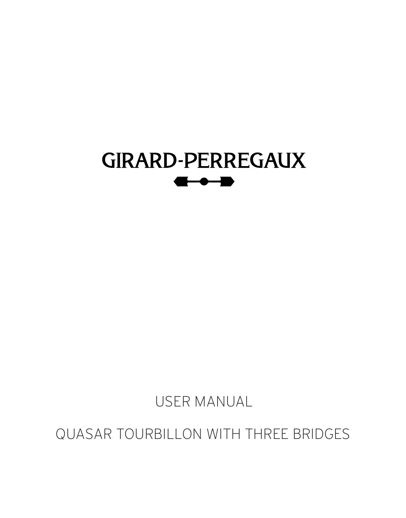

USER MANUAL

QUASAR TOURBILLON WITH THREE BRIDGES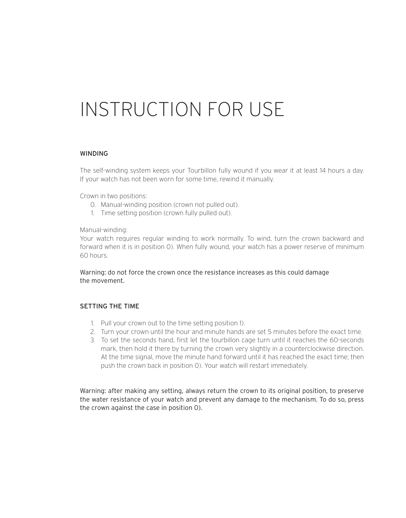# INSTRUCTION FOR USE

#### WINDING

The self-winding system keeps your Tourbillon fully wound if you wear it at least 14 hours a day. If your watch has not been worn for some time, rewind it manually.

Crown in two positions:

- 0. Manual-winding position (crown not pulled out).
- 1. Time setting position (crown fully pulled out).

Manual-winding:

Your watch requires regular winding to work normally. To wind, turn the crown backward and forward when it is in position 0). When fully wound, your watch has a power reserve of minimum 60 hours.

Warning: do not force the crown once the resistance increases as this could damage the movement.

#### SETTING THE TIME

- 1. Pull your crown out to the time setting position 1).
- 2. Turn your crown until the hour and minute hands are set 5 minutes before the exact time.
- 3. To set the seconds hand, first let the tourbillon cage turn until it reaches the 60-seconds mark, then hold it there by turning the crown very slightly in a counterclockwise direction. At the time signal, move the minute hand forward until it has reached the exact time; then push the crown back in position 0). Your watch will restart immediately.

Warning: after making any setting, always return the crown to its original position, to preserve the water resistance of your watch and prevent any damage to the mechanism. To do so, press the crown against the case in position 0).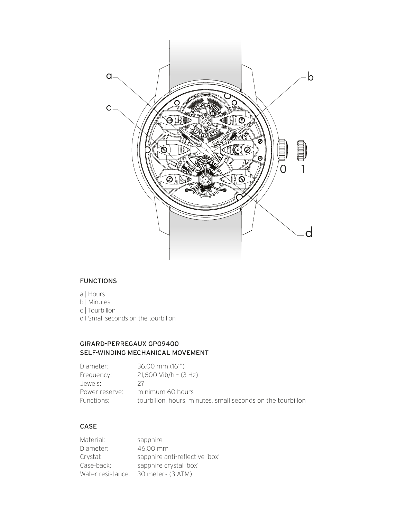

#### FUNCTIONS

- a | Hours
- b | Minutes
- c | Tourbillon
- d I Small seconds on the tourbillon

### GIRARD-PERREGAUX GP09400 SELF-WINDING MECHANICAL MOVEMENT

| Diameter:      | 36.00 mm (16"')                                             |
|----------------|-------------------------------------------------------------|
| Frequency:     | $21.600$ Vib/h - $(3$ Hz)                                   |
| Jewels:        | 27                                                          |
| Power reserve: | minimum 60 hours                                            |
| Functions:     | tourbillon, hours, minutes, small seconds on the tourbillon |

## CASE

| Material:         | sapphire                       |
|-------------------|--------------------------------|
| Diameter:         | 46.00 mm                       |
| Crystal:          | sapphire anti-reflective 'box' |
| Case-back:        | sapphire crystal 'box'         |
| Water resistance: | 30 meters (3 ATM)              |